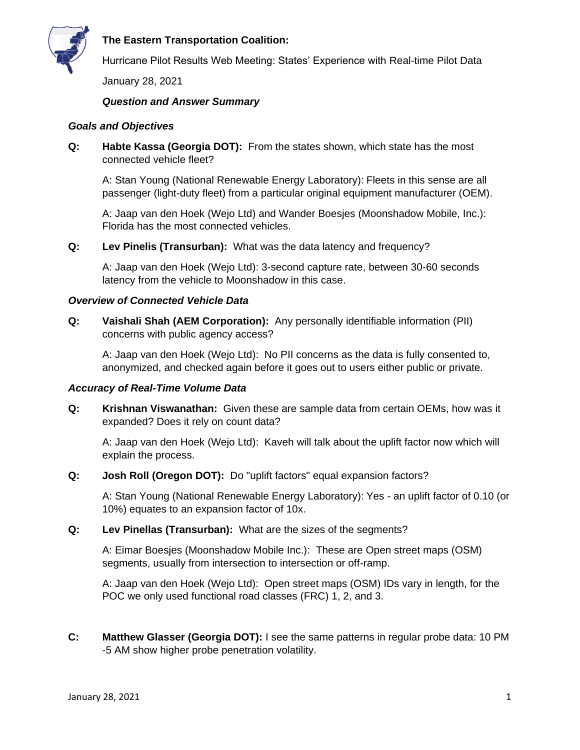

# **The Eastern Transportation Coalition:**

Hurricane Pilot Results Web Meeting: States' Experience with Real-time Pilot Data

January 28, 2021

# *Question and Answer Summary*

### *Goals and Objectives*

**Q: Habte Kassa (Georgia DOT):** From the states shown, which state has the most connected vehicle fleet?

A: Stan Young (National Renewable Energy Laboratory): Fleets in this sense are all passenger (light-duty fleet) from a particular original equipment manufacturer (OEM).

A: Jaap van den Hoek (Wejo Ltd) and Wander Boesjes (Moonshadow Mobile, Inc.): Florida has the most connected vehicles.

**Q: Lev Pinelis (Transurban):** What was the data latency and frequency?

A: Jaap van den Hoek (Wejo Ltd): 3-second capture rate, between 30-60 seconds latency from the vehicle to Moonshadow in this case.

#### *Overview of Connected Vehicle Data*

**Q: Vaishali Shah (AEM Corporation):** Any personally identifiable information (PII) concerns with public agency access?

A: Jaap van den Hoek (Wejo Ltd): No PII concerns as the data is fully consented to, anonymized, and checked again before it goes out to users either public or private.

#### *Accuracy of Real-Time Volume Data*

**Q: Krishnan Viswanathan:** Given these are sample data from certain OEMs, how was it expanded? Does it rely on count data?

A: Jaap van den Hoek (Wejo Ltd): Kaveh will talk about the uplift factor now which will explain the process.

**Q: Josh Roll (Oregon DOT):** Do "uplift factors" equal expansion factors?

A: Stan Young (National Renewable Energy Laboratory): Yes - an uplift factor of 0.10 (or 10%) equates to an expansion factor of 10x.

**Q: Lev Pinellas (Transurban):** What are the sizes of the segments?

A: Eimar Boesjes (Moonshadow Mobile Inc.): These are Open street maps (OSM) segments, usually from intersection to intersection or off-ramp.

A: Jaap van den Hoek (Wejo Ltd): Open street maps (OSM) IDs vary in length, for the POC we only used functional road classes (FRC) 1, 2, and 3.

**C: Matthew Glasser (Georgia DOT):** I see the same patterns in regular probe data: 10 PM -5 AM show higher probe penetration volatility.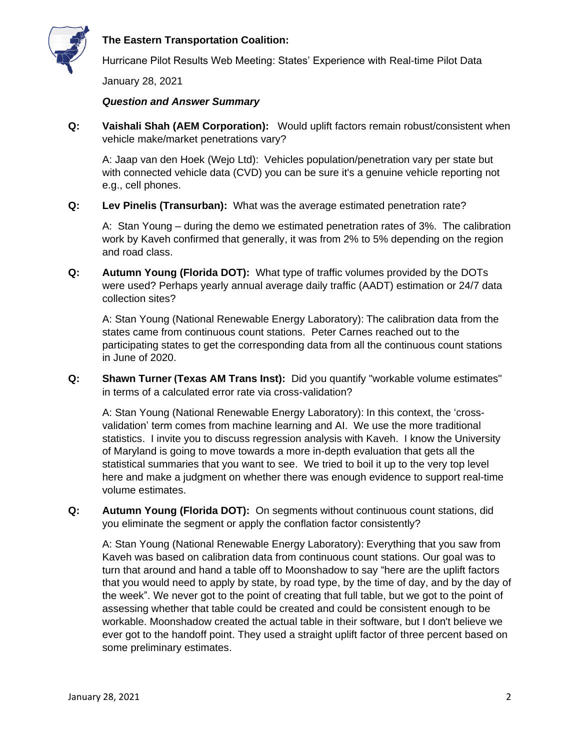

# **The Eastern Transportation Coalition:**

Hurricane Pilot Results Web Meeting: States' Experience with Real-time Pilot Data

January 28, 2021

#### *Question and Answer Summary*

**Q: Vaishali Shah (AEM Corporation):** Would uplift factors remain robust/consistent when vehicle make/market penetrations vary?

A: Jaap van den Hoek (Wejo Ltd): Vehicles population/penetration vary per state but with connected vehicle data (CVD) you can be sure it's a genuine vehicle reporting not e.g., cell phones.

**Q: Lev Pinelis (Transurban):** What was the average estimated penetration rate?

A: Stan Young – during the demo we estimated penetration rates of 3%. The calibration work by Kaveh confirmed that generally, it was from 2% to 5% depending on the region and road class.

**Q: Autumn Young (Florida DOT):** What type of traffic volumes provided by the DOTs were used? Perhaps yearly annual average daily traffic (AADT) estimation or 24/7 data collection sites?

A: Stan Young (National Renewable Energy Laboratory): The calibration data from the states came from continuous count stations. Peter Carnes reached out to the participating states to get the corresponding data from all the continuous count stations in June of 2020.

**Q: Shawn Turner (Texas AM Trans Inst):** Did you quantify "workable volume estimates" in terms of a calculated error rate via cross-validation?

A: Stan Young (National Renewable Energy Laboratory): In this context, the 'crossvalidation' term comes from machine learning and AI. We use the more traditional statistics. I invite you to discuss regression analysis with Kaveh. I know the University of Maryland is going to move towards a more in-depth evaluation that gets all the statistical summaries that you want to see. We tried to boil it up to the very top level here and make a judgment on whether there was enough evidence to support real-time volume estimates.

**Q: Autumn Young (Florida DOT):** On segments without continuous count stations, did you eliminate the segment or apply the conflation factor consistently?

A: Stan Young (National Renewable Energy Laboratory): Everything that you saw from Kaveh was based on calibration data from continuous count stations. Our goal was to turn that around and hand a table off to Moonshadow to say "here are the uplift factors that you would need to apply by state, by road type, by the time of day, and by the day of the week". We never got to the point of creating that full table, but we got to the point of assessing whether that table could be created and could be consistent enough to be workable. Moonshadow created the actual table in their software, but I don't believe we ever got to the handoff point. They used a straight uplift factor of three percent based on some preliminary estimates.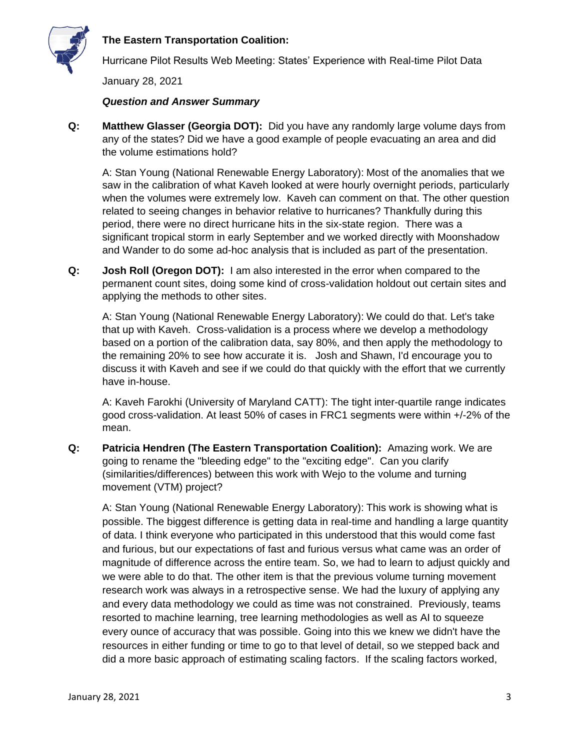



Hurricane Pilot Results Web Meeting: States' Experience with Real-time Pilot Data

January 28, 2021

# *Question and Answer Summary*

**Q: Matthew Glasser (Georgia DOT):** Did you have any randomly large volume days from any of the states? Did we have a good example of people evacuating an area and did the volume estimations hold?

A: Stan Young (National Renewable Energy Laboratory): Most of the anomalies that we saw in the calibration of what Kaveh looked at were hourly overnight periods, particularly when the volumes were extremely low. Kaveh can comment on that. The other question related to seeing changes in behavior relative to hurricanes? Thankfully during this period, there were no direct hurricane hits in the six-state region. There was a significant tropical storm in early September and we worked directly with Moonshadow and Wander to do some ad-hoc analysis that is included as part of the presentation.

**Q: Josh Roll (Oregon DOT):** I am also interested in the error when compared to the permanent count sites, doing some kind of cross-validation holdout out certain sites and applying the methods to other sites.

A: Stan Young (National Renewable Energy Laboratory): We could do that. Let's take that up with Kaveh. Cross-validation is a process where we develop a methodology based on a portion of the calibration data, say 80%, and then apply the methodology to the remaining 20% to see how accurate it is. Josh and Shawn, I'd encourage you to discuss it with Kaveh and see if we could do that quickly with the effort that we currently have in-house.

A: Kaveh Farokhi (University of Maryland CATT): The tight inter-quartile range indicates good cross-validation. At least 50% of cases in FRC1 segments were within +/-2% of the mean.

**Q: Patricia Hendren (The Eastern Transportation Coalition):** Amazing work. We are going to rename the "bleeding edge" to the "exciting edge". Can you clarify (similarities/differences) between this work with Wejo to the volume and turning movement (VTM) project?

A: Stan Young (National Renewable Energy Laboratory): This work is showing what is possible. The biggest difference is getting data in real-time and handling a large quantity of data. I think everyone who participated in this understood that this would come fast and furious, but our expectations of fast and furious versus what came was an order of magnitude of difference across the entire team. So, we had to learn to adjust quickly and we were able to do that. The other item is that the previous volume turning movement research work was always in a retrospective sense. We had the luxury of applying any and every data methodology we could as time was not constrained. Previously, teams resorted to machine learning, tree learning methodologies as well as AI to squeeze every ounce of accuracy that was possible. Going into this we knew we didn't have the resources in either funding or time to go to that level of detail, so we stepped back and did a more basic approach of estimating scaling factors. If the scaling factors worked,